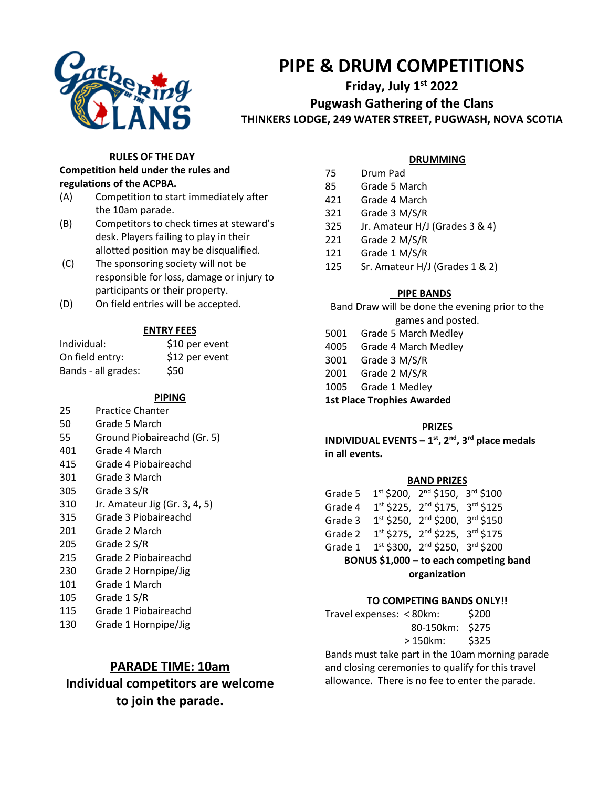

# **PIPE & DRUM COMPETITIONS**

## **Friday, July 1st 2022 Pugwash Gathering of the Clans THINKERS LODGE, 249 WATER STREET, PUGWASH, NOVA SCOTIA**

#### **RULES OF THE DAY**

#### **Competition held under the rules and regulations of the ACPBA.**

- (A) Competition to start immediately after the 10am parade.
- (B) Competitors to check times at steward's desk. Players failing to play in their allotted position may be disqualified.
- (C) The sponsoring society will not be responsible for loss, damage or injury to participants or their property.
- (D) On field entries will be accepted.

#### **ENTRY FEES**

| Individual:         | \$10 per event |
|---------------------|----------------|
| On field entry:     | \$12 per event |
| Bands - all grades: | \$50           |

**PIPING**

- 25 Practice Chanter
- 50 Grade 5 March
- 55 Ground Piobaireachd (Gr. 5)
- 401 Grade 4 March
- 415 Grade 4 Piobaireachd
- 301 Grade 3 March
- 305 Grade 3 S/R
- 310 Jr. Amateur Jig (Gr. 3, 4, 5)
- 315 Grade 3 Piobaireachd
- 201 Grade 2 March
- 205 Grade 2 S/R
- 215 Grade 2 Piobaireachd
- 230 Grade 2 Hornpipe/Jig
- 101 Grade 1 March
- 105 Grade 1 S/R
- 115 Grade 1 Piobaireachd 130 Grade 1 Hornpipe/Jig

## **PARADE TIME: 10am**

**Individual competitors are welcome to join the parade.**

#### **DRUMMING**

- 75 Drum Pad
- 85 Grade 5 March
- 421 Grade 4 March
- 321 Grade 3 M/S/R
- 325 Jr. Amateur H/J (Grades 3 & 4)
- 221 Grade 2 M/S/R
- 121 Grade 1 M/S/R
- 125 Sr. Amateur H/J (Grades 1 & 2)

#### **PIPE BANDS**

Band Draw will be done the evening prior to the games and posted.

- 5001 Grade 5 March Medley
- 4005 Grade 4 March Medley
- 3001 Grade 3 M/S/R
- 2001 Grade 2 M/S/R
- 1005 Grade 1 Medley
- **1st Place Trophies Awarded**

#### **PRIZES**

**INDIVIDUAL EVENTS – 1 st , 2 nd , 3 rd place medals in all events.**

#### **BAND PRIZES**

| Grade 5                                |  | 1st \$200, 2 <sup>nd</sup> \$150, 3 <sup>rd</sup> \$100 |  |  |  |  |
|----------------------------------------|--|---------------------------------------------------------|--|--|--|--|
| Grade 4                                |  | 1st \$225, 2nd \$175, 3rd \$125                         |  |  |  |  |
| Grade 3                                |  | 1st \$250, 2nd \$200, 3rd \$150                         |  |  |  |  |
| Grade 2                                |  | 1st \$275, 2nd \$225, 3rd \$175                         |  |  |  |  |
| Grade 1                                |  | 1st \$300, 2nd \$250, 3rd \$200                         |  |  |  |  |
| BONUS \$1,000 - to each competing band |  |                                                         |  |  |  |  |
|                                        |  |                                                         |  |  |  |  |

#### **organization**

#### **TO COMPETING BANDS ONLY!!**

Travel expenses: < 80km: \$200 80-150km: \$275 > 150km: \$325

Bands must take part in the 10am morning parade and closing ceremonies to qualify for this travel allowance. There is no fee to enter the parade.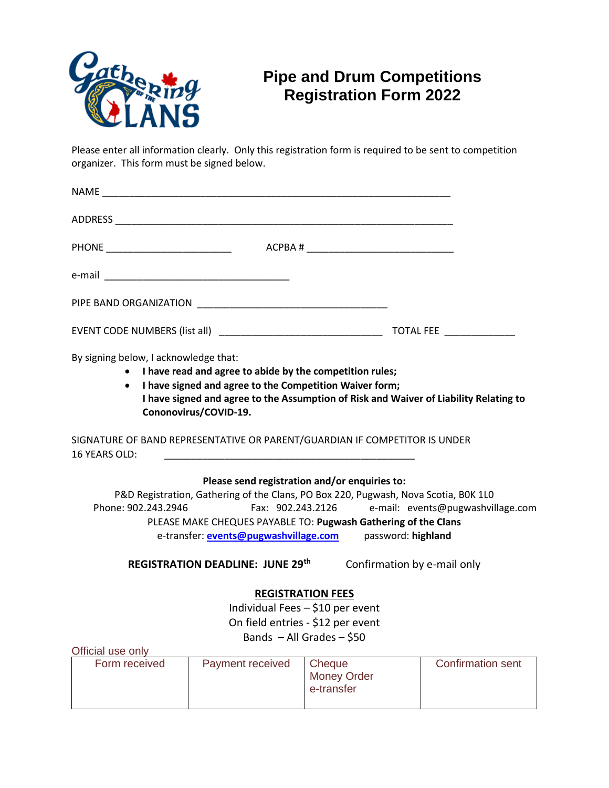

# **Pipe and Drum Competitions Registration Form 2022**

Please enter all information clearly. Only this registration form is required to be sent to competition organizer. This form must be signed below.

| PHONE ____________________________    ACPBA # __________________________________                   |                                                                                       |  |
|----------------------------------------------------------------------------------------------------|---------------------------------------------------------------------------------------|--|
|                                                                                                    |                                                                                       |  |
|                                                                                                    |                                                                                       |  |
|                                                                                                    |                                                                                       |  |
| By signing below, I acknowledge that:                                                              |                                                                                       |  |
|                                                                                                    | • I have read and agree to abide by the competition rules;                            |  |
|                                                                                                    | • I have signed and agree to the Competition Waiver form;                             |  |
| Cononovirus/COVID-19.                                                                              | I have signed and agree to the Assumption of Risk and Waiver of Liability Relating to |  |
| SIGNATURE OF BAND REPRESENTATIVE OR PARENT/GUARDIAN IF COMPETITOR IS UNDER<br><b>16 YEARS OLD:</b> |                                                                                       |  |
|                                                                                                    | Please send registration and/or enquiries to:                                         |  |
| P&D Registration, Gathering of the Clans, PO Box 220, Pugwash, Nova Scotia, BOK 1LO                |                                                                                       |  |
| Phone: 902.243.2946 Fax: 902.243.2126 e-mail: events@pugwashvillage.com                            |                                                                                       |  |
|                                                                                                    | PLEASE MAKE CHEQUES PAYABLE TO: Pugwash Gathering of the Clans                        |  |

e-transfer: **[events@pugwashvillage.com](mailto:events@pugwashvillage.com)** password: **highland**

**REGISTRATION DEADLINE: JUNE 29th** Confirmation by e-mail only

## **REGISTRATION FEES**

Individual Fees – \$10 per event On field entries - \$12 per event Bands  $-$  All Grades  $-$  \$50

Official use only

| Form received | Payment received | Cheque<br><b>Money Order</b> | <b>Confirmation sent</b> |
|---------------|------------------|------------------------------|--------------------------|
|               |                  | e-transfer                   |                          |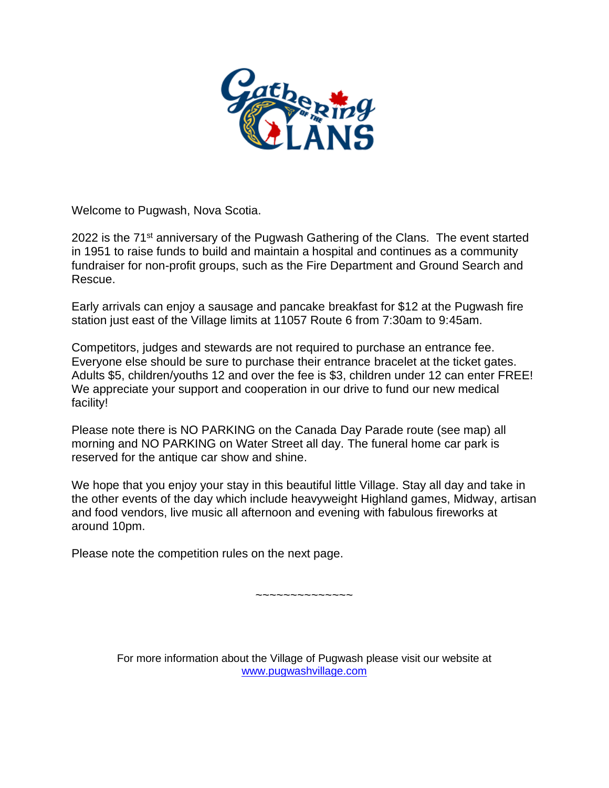

Welcome to Pugwash, Nova Scotia.

2022 is the  $71<sup>st</sup>$  anniversary of the Pugwash Gathering of the Clans. The event started in 1951 to raise funds to build and maintain a hospital and continues as a community fundraiser for non-profit groups, such as the Fire Department and Ground Search and Rescue.

Early arrivals can enjoy a sausage and pancake breakfast for \$12 at the Pugwash fire station just east of the Village limits at 11057 Route 6 from 7:30am to 9:45am.

Competitors, judges and stewards are not required to purchase an entrance fee. Everyone else should be sure to purchase their entrance bracelet at the ticket gates. Adults \$5, children/youths 12 and over the fee is \$3, children under 12 can enter FREE! We appreciate your support and cooperation in our drive to fund our new medical facility!

Please note there is NO PARKING on the Canada Day Parade route (see map) all morning and NO PARKING on Water Street all day. The funeral home car park is reserved for the antique car show and shine.

We hope that you enjoy your stay in this beautiful little Village. Stay all day and take in the other events of the day which include heavyweight Highland games, Midway, artisan and food vendors, live music all afternoon and evening with fabulous fireworks at around 10pm.

Please note the competition rules on the next page.

~~~~~~~~~~~~~~

For more information about the Village of Pugwash please visit our website at [www.pugwashvillage.com](http://www.pugwashvillage.com/)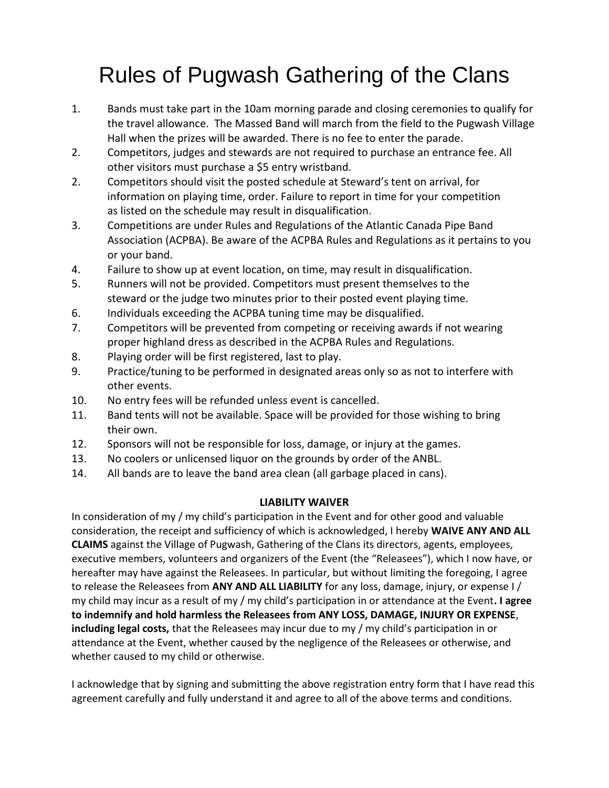# Rules of Pugwash Gathering of the Clans

- 1. Bands must take part in the 10am morning parade and closing ceremonies to qualify for the travel allowance. The Massed Band will march from the field to the Pugwash Village Hall when the prizes will be awarded. There is no fee to enter the parade.
- 2. Competitors, judges and stewards are not required to purchase an entrance fee. All other visitors must purchase a \$5 entry wristband.
- 2. Competitors should visit the posted schedule at Steward's tent on arrival, for information on playing time, order. Failure to report in time for your competition as listed on the schedule may result in disqualification.
- 3. Competitions are under Rules and Regulations of the Atlantic Canada Pipe Band Association (ACPBA). Be aware of the ACPBA Rules and Regulations as it pertains to you or your band.
- 4. Failure to show up at event location, on time, may result in disqualification.
- 5. Runners will not be provided. Competitors must present themselves to the steward or the judge two minutes prior to their posted event playing time.
- 6. Individuals exceeding the ACPBA tuning time may be disqualified.
- 7. Competitors will be prevented from competing or receiving awards if not wearing proper highland dress as described in the ACPBA Rules and Regulations.
- 8. Playing order will be first registered, last to play.
- 9. Practice/tuning to be performed in designated areas only so as not to interfere with other events.
- 10. No entry fees will be refunded unless event is cancelled.
- 11. Band tents will not be available. Space will be provided for those wishing to bring their own.
- 12. Sponsors will not be responsible for loss, damage, or injury at the games.
- 13. No coolers or unlicensed liquor on the grounds by order of the ANBL.
- 14. All bands are to leave the band area clean (all garbage placed in cans).

### **LIABILITY WAIVER**

In consideration of my / my child's participation in the Event and for other good and valuable consideration, the receipt and sufficiency of which is acknowledged, I hereby **WAIVE ANY AND ALL CLAIMS** against the Village of Pugwash, Gathering of the Clans its directors, agents, employees, executive members, volunteers and organizers of the Event (the "Releasees"), which I now have, or hereafter may have against the Releasees. In particular, but without limiting the foregoing, I agree to release the Releasees from **ANY AND ALL LIABILITY** for any loss, damage, injury, or expense I / my child may incur as a result of my / my child's participation in or attendance at the Event**. I agree to indemnify and hold harmless the Releasees from ANY LOSS, DAMAGE, INJURY OR EXPENSE**, **including legal costs,** that the Releasees may incur due to my / my child's participation in or attendance at the Event, whether caused by the negligence of the Releasees or otherwise, and whether caused to my child or otherwise.

I acknowledge that by signing and submitting the above registration entry form that I have read this agreement carefully and fully understand it and agree to all of the above terms and conditions.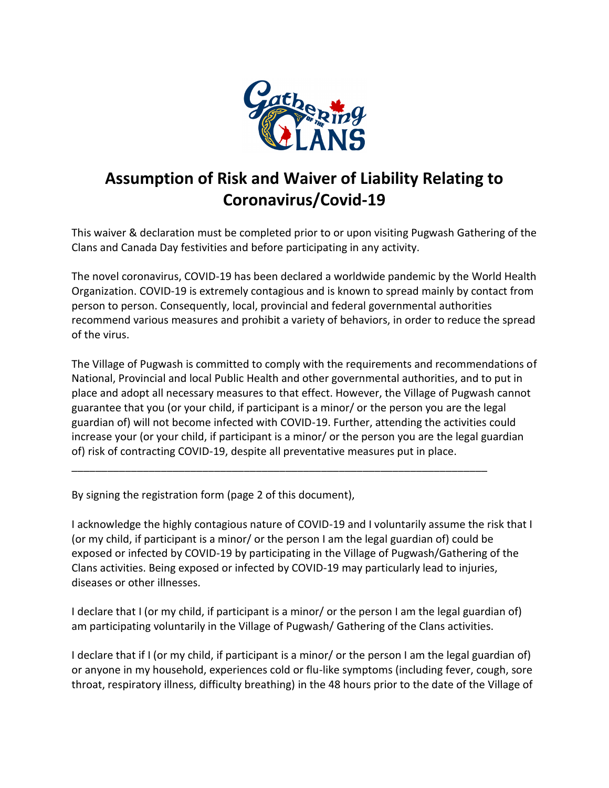

# **Assumption of Risk and Waiver of Liability Relating to Coronavirus/Covid-19**

This waiver & declaration must be completed prior to or upon visiting Pugwash Gathering of the Clans and Canada Day festivities and before participating in any activity.

The novel coronavirus, COVID-19 has been declared a worldwide pandemic by the World Health Organization. COVID-19 is extremely contagious and is known to spread mainly by contact from person to person. Consequently, local, provincial and federal governmental authorities recommend various measures and prohibit a variety of behaviors, in order to reduce the spread of the virus.

The Village of Pugwash is committed to comply with the requirements and recommendations of National, Provincial and local Public Health and other governmental authorities, and to put in place and adopt all necessary measures to that effect. However, the Village of Pugwash cannot guarantee that you (or your child, if participant is a minor/ or the person you are the legal guardian of) will not become infected with COVID-19. Further, attending the activities could increase your (or your child, if participant is a minor/ or the person you are the legal guardian of) risk of contracting COVID-19, despite all preventative measures put in place.

\_\_\_\_\_\_\_\_\_\_\_\_\_\_\_\_\_\_\_\_\_\_\_\_\_\_\_\_\_\_\_\_\_\_\_\_\_\_\_\_\_\_\_\_\_\_\_\_\_\_\_\_\_\_\_\_\_\_\_\_\_\_\_\_\_\_\_\_\_\_

By signing the registration form (page 2 of this document),

I acknowledge the highly contagious nature of COVID-19 and I voluntarily assume the risk that I (or my child, if participant is a minor/ or the person I am the legal guardian of) could be exposed or infected by COVID-19 by participating in the Village of Pugwash/Gathering of the Clans activities. Being exposed or infected by COVID-19 may particularly lead to injuries, diseases or other illnesses.

I declare that I (or my child, if participant is a minor/ or the person I am the legal guardian of) am participating voluntarily in the Village of Pugwash/ Gathering of the Clans activities.

I declare that if I (or my child, if participant is a minor/ or the person I am the legal guardian of) or anyone in my household, experiences cold or flu-like symptoms (including fever, cough, sore throat, respiratory illness, difficulty breathing) in the 48 hours prior to the date of the Village of